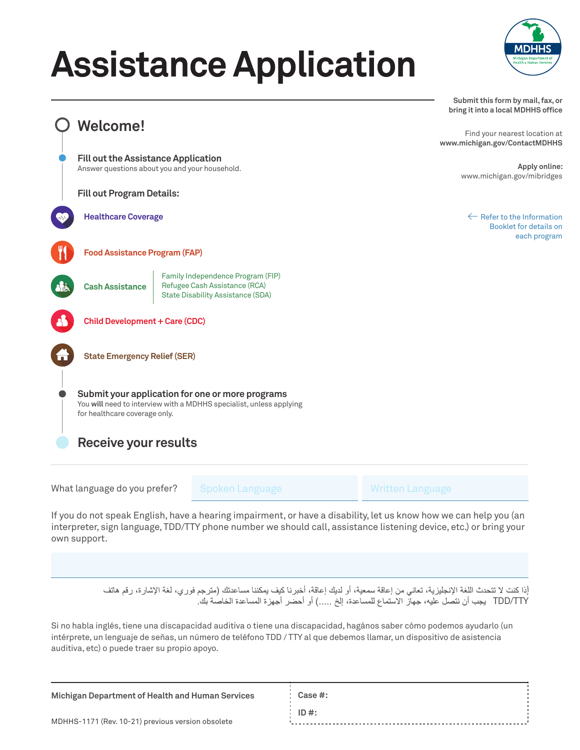## **Assistance Application**



**Submit this form by mail, fax, or bring it into a local MDHHS office**

Find your nearest location at **www.michigan.gov/ContactMDHHS**

> **Apply online:** www.michigan.gov/mibridges

> $\leftarrow$  Refer to the Information Booklet for details on each program

**Food Assistance Program (FAP)**

**Fill out Program Details:**

**Healthcare Coverage**

**Fill out the Assistance Application** Answer questions about you and your household.

**Welcome!**

**Cash Assistance** Family Independence Program (FIP) Refugee Cash Assistance (RCA) State Disability Assistance (SDA)



**Child Development + Care (CDC)**

**State Emergency Relief (SER)**

**Submit your application for one or more programs** You **will** need to interview with a MDHHS specialist, unless applying for healthcare coverage only.

**Receive your results**

What language do you prefer?

Spoken Language Music Booken Language

If you do not speak English, have a hearing impairment, or have a disability, let us know how we can help you (an interpreter, sign language, TDD/TTY phone number we should call, assistance listening device, etc.) or bring your own support.

> إذا كنت لا تتحدث اللغة الإنجليزية، تعاني من إعاقة سمعية، أو لديك إعاقة، أخبرنا كيف يمكننا مساعدتك (مترجم فوري، لغة الإشارة، رقم هاتف TDD/TTY يجب أن نتصل عليه، جهاز الاستماع للمساعدة، إلخ .....) أو أحضر أجهزة المساعدة الخاصة بك

Si no habla inglés, tiene una discapacidad auditiva o tiene una discapacidad, hagános saber cómo podemos ayudarlo (un intérprete, un lenguaje de señas, un número de teléfono TDD / TTY al que debemos llamar, un dispositivo de asistencia auditiva, etc) o puede traer su propio apoyo.

| Michigan Department of Health and Human Services  | Case  #: |  |
|---------------------------------------------------|----------|--|
| MDHHS-1171 (Rev. 10-21) previous version obsolete | $ID#$ :  |  |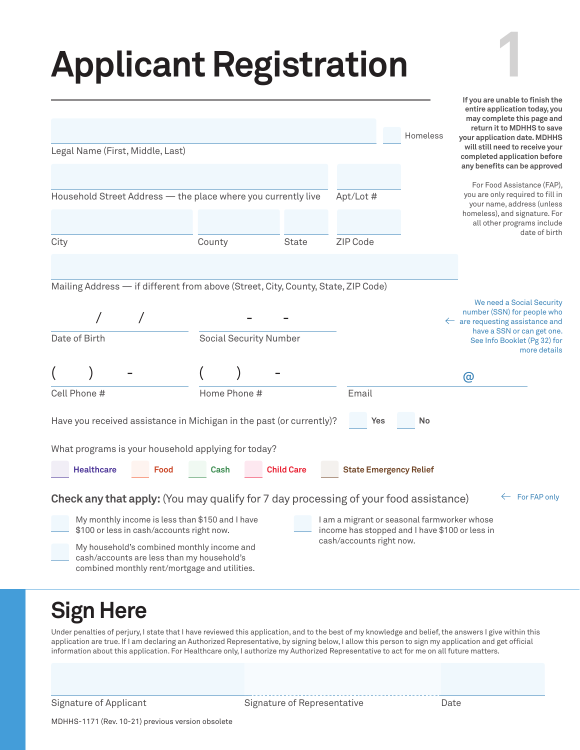# **Applicant Registration**

|      |                                   | Legal Name (First, Middle, Last)                                                                                                                                                                                                                                                                                                         |                      |                               |                   |                                                                                                                           |     | Homeless                            | entire application today, you<br>may complete this page and<br>return it to MDHHS to save<br>your application date. MDHHS<br>will still need to receive your<br>completed application before<br>any benefits can be approved |
|------|-----------------------------------|------------------------------------------------------------------------------------------------------------------------------------------------------------------------------------------------------------------------------------------------------------------------------------------------------------------------------------------|----------------------|-------------------------------|-------------------|---------------------------------------------------------------------------------------------------------------------------|-----|-------------------------------------|------------------------------------------------------------------------------------------------------------------------------------------------------------------------------------------------------------------------------|
| City |                                   | Household Street Address - the place where you currently live                                                                                                                                                                                                                                                                            | County               |                               | <b>State</b>      | Apt/Lot #<br>ZIP Code                                                                                                     |     |                                     | For Food Assistance (FAP),<br>you are only required to fill in<br>your name, address (unless<br>homeless), and signature. For<br>all other programs include<br>date of birth                                                 |
|      | Date of Birth                     | Mailing Address - if different from above (Street, City, County, State, ZIP Code)                                                                                                                                                                                                                                                        |                      | <b>Social Security Number</b> |                   |                                                                                                                           |     |                                     | We need a Social Security<br>number (SSN) for people who<br>$\leftarrow$ are requesting assistance and<br>have a SSN or can get one.<br>See Info Booklet (Pg 32) for<br>more details<br>@                                    |
|      | Cell Phone #<br><b>Healthcare</b> | Have you received assistance in Michigan in the past (or currently)?<br>What programs is your household applying for today?<br>Food                                                                                                                                                                                                      | Home Phone #<br>Cash |                               | <b>Child Care</b> | Email                                                                                                                     | Yes | No<br><b>State Emergency Relief</b> |                                                                                                                                                                                                                              |
|      |                                   | <b>Check any that apply:</b> (You may qualify for 7 day processing of your food assistance)<br>My monthly income is less than \$150 and I have<br>\$100 or less in cash/accounts right now.<br>My household's combined monthly income and<br>cash/accounts are less than my household's<br>combined monthly rent/mortgage and utilities. |                      |                               |                   | I am a migrant or seasonal farmworker whose<br>income has stopped and I have \$100 or less in<br>cash/accounts right now. |     |                                     | For FAP only                                                                                                                                                                                                                 |

#### **Sign Here**

Under penalties of perjury, I state that I have reviewed this application, and to the best of my knowledge and belief, the answers I give within this application are true. If I am declaring an Authorized Representative, by signing below, I allow this person to sign my application and get official information about this application. For Healthcare only, I authorize my Authorized Representative to act for me on all future matters.

Signature of Applicant Signature of Representative Date

**1**

**If you are unable to finish the** 

MDHHS-1171 (Rev. 10-21) previous version obsolete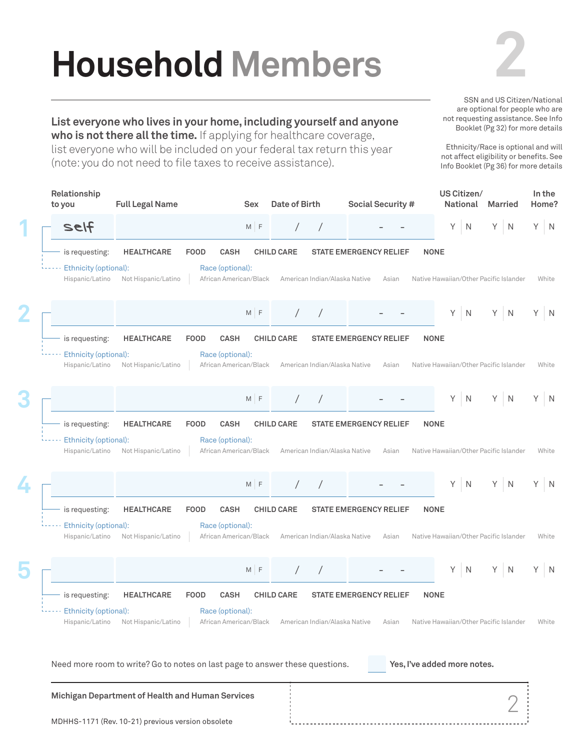# **Household Members**

**List everyone who lives in your home, including yourself and anyone who is not there all the time.** If applying for healthcare coverage, list everyone who will be included on your federal tax return this year

(note: you do not need to file taxes to receive assistance).



SSN and US Citizen/National are optional for people who are not requesting assistance. See Info Booklet (Pg 32) for more details

Ethnicity/Race is optional and will not affect eligibility or benefits. See Info Booklet (Pg 36) for more details

**US Citizen/ Relationship In the to you Full Legal Name Date of Birth Social Security # Married Sex Home? National 1** Self M F / / - - Y N Y N Y N is requesting: **HEALTHCARE FOOD CASH CHILD CARE STATE EMERGENCY RELIEF NONE** ...... Ethnicity (optional): Race (optional): Hispanic/Latino Not Hispanic/Latino African American/Black American Indian/Alaska Native Asian Native Hawaiian/Other Pacific Islander White **2**  $M$  F / / - - Y N Y N Y N is requesting: **HEALTHCARE FOOD CASH CHILD CARE STATE EMERGENCY RELIEF NONE** Ethnicity (optional): Race (optional): Hispanic/Latino Not Hispanic/Latino African American/Black American Indian/Alaska Native Asian Native Hawaiian/Other Pacific Islander White **3**  $\overline{N}$ / / - -  $N$  $M$  F Y N is requesting: **HEALTHCARE FOOD CASH CHILD CARE STATE EMERGENCY RELIEF NONE** Ethnicity (optional): Race (optional): Hispanic/Latino Not Hispanic/Latino African American/Black American Indian/Alaska Native Asian Native Hawaiian/Other Pacific Islander White **4**  $\overline{N}$  $M$  F / / - -  $\overline{N}$ Y N is requesting: **HEALTHCARE FOOD CASH CHILD CARE STATE EMERGENCY RELIEF NONE** ----- Ethnicity (optional): Race (optional): Hispanic/Latino Not Hispanic/Latino African American/Black American Indian/Alaska Native Asian Native Hawaiian/Other Pacific Islander White **5** / / - -  $\overline{N}$ M F  $N$  $\overline{N}$ is requesting: **HEALTHCARE FOOD CASH CHILD CARE STATE EMERGENCY RELIEF NONE** Ethnicity (optional): Race (optional): Hispanic/Latino Not Hispanic/Latino African American/Black American Indian/Alaska Native Asian Native Hawaiian/Other Pacific Islander White Need more room to write? Go to notes on last page to answer these questions. **Yes, I've added more notes. Michigan Department of Health and Human Services** 2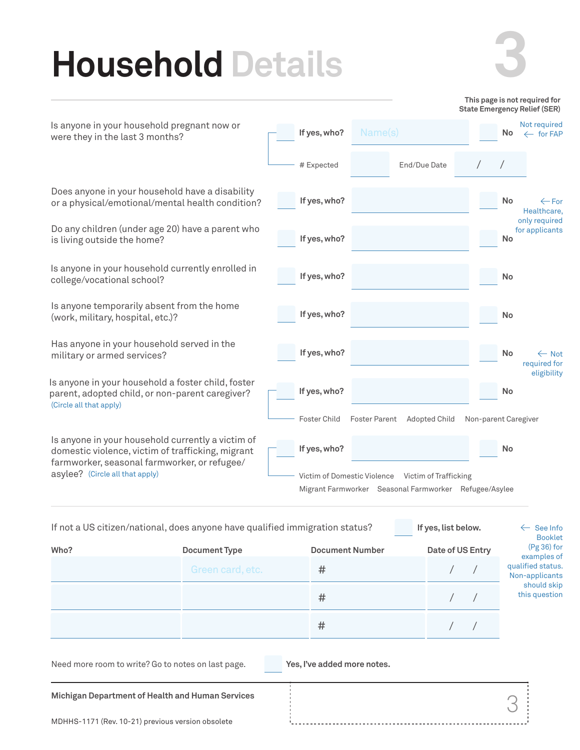### **Household Details**



3

|                                                                                                                                                        |                             |                      |                                                       |                      |           | This page is not required for<br><b>State Emergency Relief (SER)</b> |
|--------------------------------------------------------------------------------------------------------------------------------------------------------|-----------------------------|----------------------|-------------------------------------------------------|----------------------|-----------|----------------------------------------------------------------------|
| Is anyone in your household pregnant now or<br>were they in the last 3 months?                                                                         | If yes, who?                | Name(s)              |                                                       |                      | <b>No</b> | Not required<br>$\leftarrow$ for FAP                                 |
|                                                                                                                                                        | # Expected                  |                      | End/Due Date                                          |                      |           |                                                                      |
| Does anyone in your household have a disability<br>or a physical/emotional/mental health condition?                                                    | If yes, who?                |                      |                                                       |                      | <b>No</b> | $\leftarrow$ For<br>Healthcare.                                      |
| Do any children (under age 20) have a parent who<br>is living outside the home?                                                                        | If yes, who?                |                      |                                                       |                      | <b>No</b> | only required<br>for applicants                                      |
| Is anyone in your household currently enrolled in<br>college/vocational school?                                                                        | If yes, who?                |                      |                                                       |                      | <b>No</b> |                                                                      |
| Is anyone temporarily absent from the home<br>(work, military, hospital, etc.)?                                                                        | If yes, who?                |                      |                                                       |                      | <b>No</b> |                                                                      |
| Has anyone in your household served in the<br>military or armed services?                                                                              | If yes, who?                |                      |                                                       |                      | No        | $\leftarrow$ Not<br>required for                                     |
| Is anyone in your household a foster child, foster<br>parent, adopted child, or non-parent caregiver?<br>(Circle all that apply)                       | If yes, who?                |                      |                                                       |                      | <b>No</b> | eligibility                                                          |
|                                                                                                                                                        | Foster Child                | <b>Foster Parent</b> | Adopted Child                                         | Non-parent Caregiver |           |                                                                      |
| Is anyone in your household currently a victim of<br>domestic violence, victim of trafficking, migrant<br>farmworker, seasonal farmworker, or refugee/ | If yes, who?                |                      |                                                       |                      | <b>No</b> |                                                                      |
| asylee? (Circle all that apply)                                                                                                                        | Victim of Domestic Violence |                      | Victim of Trafficking                                 |                      |           |                                                                      |
|                                                                                                                                                        |                             |                      | Migrant Farmworker Seasonal Farmworker Refugee/Asylee |                      |           |                                                                      |

| If not a US citizen/national, does anyone have qualified immigration status? | If yes, list below. | $\leftarrow$ See Info<br><b>Booklet</b> |                  |                                     |
|------------------------------------------------------------------------------|---------------------|-----------------------------------------|------------------|-------------------------------------|
| Who?                                                                         | Document Type       | <b>Document Number</b>                  | Date of US Entry | $(Pg 36)$ for<br>examples of        |
|                                                                              | Green card, etc.    | #                                       |                  | qualified status.<br>Non-applicants |
|                                                                              |                     | #                                       |                  | should skip<br>this question        |
|                                                                              |                     | #                                       |                  |                                     |

Need more room to write? Go to notes on last page. **Yes, I've added more notes.** 

**Michigan Department of Health and Human Services**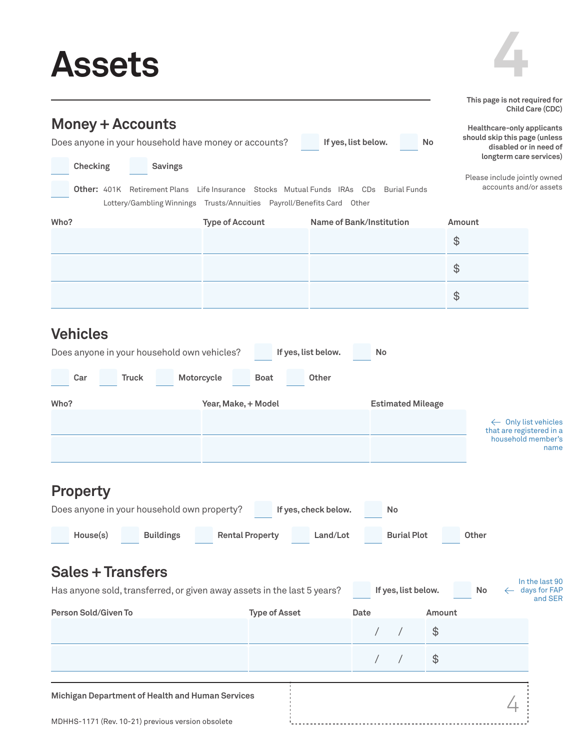### **Assets**



|                                                                                  |                                                                                                                                    |                          |                          |        | This page is not required for                                                                                    | Child Care (CDC)                            |
|----------------------------------------------------------------------------------|------------------------------------------------------------------------------------------------------------------------------------|--------------------------|--------------------------|--------|------------------------------------------------------------------------------------------------------------------|---------------------------------------------|
| <b>Money + Accounts</b><br>Does anyone in your household have money or accounts? |                                                                                                                                    | If yes, list below.      |                          | No     | Healthcare-only applicants<br>should skip this page (unless<br>disabled or in need of<br>longterm care services) |                                             |
| Checking<br><b>Savings</b>                                                       |                                                                                                                                    |                          |                          |        | Please include jointly owned                                                                                     |                                             |
| <b>Other:</b> 401K Retirement Plans                                              | Life Insurance Stocks Mutual Funds IRAs CDs Burial Funds<br>Lottery/Gambling Winnings Trusts/Annuities Payroll/Benefits Card Other |                          |                          |        | accounts and/or assets                                                                                           |                                             |
| Who?                                                                             | <b>Type of Account</b>                                                                                                             | Name of Bank/Institution |                          | Amount |                                                                                                                  |                                             |
|                                                                                  |                                                                                                                                    |                          |                          | \$     |                                                                                                                  |                                             |
|                                                                                  |                                                                                                                                    |                          |                          | \$     |                                                                                                                  |                                             |
|                                                                                  |                                                                                                                                    |                          |                          | \$     |                                                                                                                  |                                             |
| <b>Vehicles</b>                                                                  |                                                                                                                                    |                          |                          |        |                                                                                                                  |                                             |
| Does anyone in your household own vehicles?                                      |                                                                                                                                    | If yes, list below.      | No                       |        |                                                                                                                  |                                             |
| <b>Truck</b><br>Car                                                              | Motorcycle<br><b>Boat</b>                                                                                                          | Other                    |                          |        |                                                                                                                  |                                             |
| Who?                                                                             | Year, Make, + Model                                                                                                                |                          | <b>Estimated Mileage</b> |        |                                                                                                                  |                                             |
|                                                                                  |                                                                                                                                    |                          |                          |        | ← Only list vehicles<br>that are registered in a                                                                 |                                             |
|                                                                                  |                                                                                                                                    |                          |                          |        | household member's                                                                                               | name                                        |
|                                                                                  |                                                                                                                                    |                          |                          |        |                                                                                                                  |                                             |
| <b>Property</b>                                                                  |                                                                                                                                    |                          |                          |        |                                                                                                                  |                                             |
| Does anyone in your household own property?                                      |                                                                                                                                    | If yes, check below.     | <b>No</b>                |        |                                                                                                                  |                                             |
| House(s)<br><b>Buildings</b>                                                     | <b>Rental Property</b>                                                                                                             | Land/Lot                 | <b>Burial Plot</b>       |        | Other                                                                                                            |                                             |
| <b>Sales + Transfers</b>                                                         |                                                                                                                                    |                          |                          |        |                                                                                                                  |                                             |
| Has anyone sold, transferred, or given away assets in the last 5 years?          |                                                                                                                                    |                          | If yes, list below.      |        | No                                                                                                               | In the last 90<br>$\leftarrow$ days for FAP |
| Person Sold/Given To                                                             | <b>Type of Asset</b>                                                                                                               | Date                     |                          | Amount |                                                                                                                  | and SER                                     |
|                                                                                  |                                                                                                                                    |                          |                          | \$     |                                                                                                                  |                                             |
|                                                                                  |                                                                                                                                    |                          | $\sqrt{2}$               | \$     |                                                                                                                  |                                             |
| Michigan Department of Health and Human Services                                 |                                                                                                                                    |                          |                          |        |                                                                                                                  |                                             |
| MDHHS-1171 (Rev. 10-21) previous version obsolete                                |                                                                                                                                    |                          |                          |        |                                                                                                                  |                                             |
|                                                                                  |                                                                                                                                    |                          |                          |        |                                                                                                                  |                                             |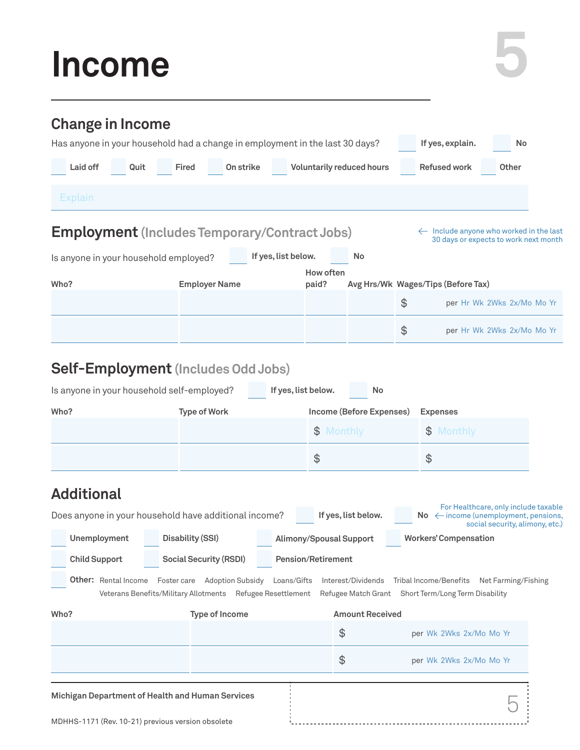### **Income**

| <b>Change in Income</b>                                                      |                                                                                                        |                                |                                  |                                                                                                   |  |
|------------------------------------------------------------------------------|--------------------------------------------------------------------------------------------------------|--------------------------------|----------------------------------|---------------------------------------------------------------------------------------------------|--|
| Has anyone in your household had a change in employment in the last 30 days? |                                                                                                        |                                |                                  | If yes, explain.<br>No                                                                            |  |
| Laid off<br>Quit                                                             | <b>Fired</b><br>On strike                                                                              |                                | <b>Voluntarily reduced hours</b> | <b>Refused work</b><br>Other                                                                      |  |
| <b>Explain</b>                                                               |                                                                                                        |                                |                                  |                                                                                                   |  |
| <b>Employment</b> (Includes Temporary/Contract Jobs)                         |                                                                                                        |                                |                                  | $\leftarrow$ Include anyone who worked in the last<br>30 days or expects to work next month       |  |
| Is anyone in your household employed?                                        |                                                                                                        | If yes, list below.            | No                               |                                                                                                   |  |
| Who?                                                                         | <b>Employer Name</b>                                                                                   | How often<br>paid?             |                                  | Avg Hrs/Wk Wages/Tips (Before Tax)                                                                |  |
|                                                                              |                                                                                                        |                                |                                  | \$<br>per Hr Wk 2Wks 2x/Mo Mo Yr                                                                  |  |
|                                                                              |                                                                                                        |                                |                                  | \$<br>per Hr Wk 2Wks 2x/Mo Mo Yr                                                                  |  |
| <b>Self-Employment</b> (Includes Odd Jobs)                                   |                                                                                                        |                                |                                  |                                                                                                   |  |
| Is anyone in your household self-employed?                                   |                                                                                                        | If yes, list below.            | No                               |                                                                                                   |  |
| Who?                                                                         | <b>Type of Work</b>                                                                                    |                                | Income (Before Expenses)         | <b>Expenses</b>                                                                                   |  |
|                                                                              |                                                                                                        | $\mathfrak{S}$                 | Monthly                          | Monthly<br>$\mathfrak{F}$                                                                         |  |
|                                                                              |                                                                                                        | \$                             |                                  | \$                                                                                                |  |
| <b>Additional</b>                                                            |                                                                                                        |                                |                                  |                                                                                                   |  |
| Does anyone in your household have additional income?                        |                                                                                                        |                                | If yes, list below.              | For Healthcare, only include taxable<br>$\mathsf{No} \leftarrow$ income (unemployment, pensions,  |  |
| Unemployment                                                                 | <b>Disability (SSI)</b>                                                                                | <b>Alimony/Spousal Support</b> |                                  | social security, alimony, etc.)<br><b>Workers' Compensation</b>                                   |  |
| <b>Child Support</b>                                                         | <b>Social Security (RSDI)</b>                                                                          | <b>Pension/Retirement</b>      |                                  |                                                                                                   |  |
| <b>Other:</b> Rental Income                                                  | Foster care Adoption Subsidy Loans/Gifts<br>Veterans Benefits/Military Allotments Refugee Resettlement |                                | Interest/Dividends               | Tribal Income/Benefits Net Farming/Fishing<br>Refugee Match Grant Short Term/Long Term Disability |  |
| Who?                                                                         | <b>Type of Income</b>                                                                                  |                                | <b>Amount Received</b>           |                                                                                                   |  |
|                                                                              |                                                                                                        |                                | $\frac{4}{5}$                    | per Wk 2Wks 2x/Mo Mo Yr                                                                           |  |
|                                                                              |                                                                                                        |                                | $\frac{4}{5}$                    | per Wk 2Wks 2x/Mo Mo Yr                                                                           |  |
| Michigan Department of Health and Human Services                             |                                                                                                        |                                |                                  |                                                                                                   |  |
| MDHHS-1171 (Rev. 10-21) previous version obsolete                            |                                                                                                        |                                |                                  |                                                                                                   |  |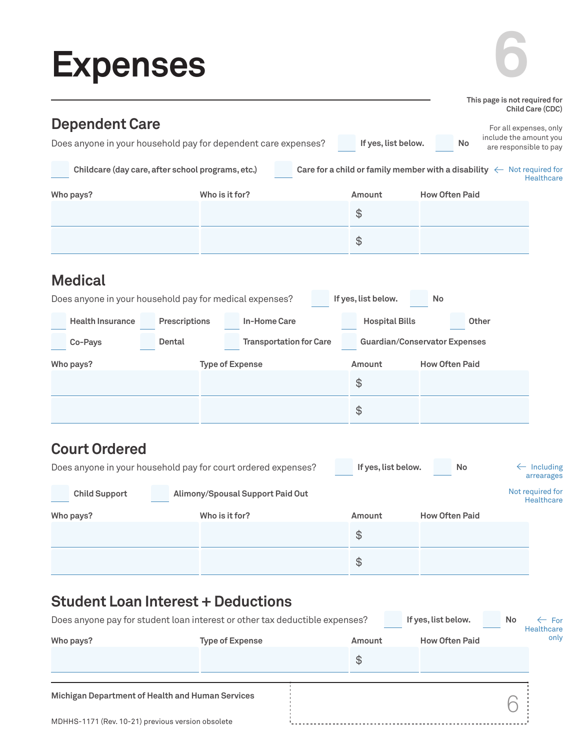### **Expenses**

| <b>Expenses</b>                                                                         |                                |                       |                                      |                                                                                                        |
|-----------------------------------------------------------------------------------------|--------------------------------|-----------------------|--------------------------------------|--------------------------------------------------------------------------------------------------------|
|                                                                                         |                                |                       |                                      | This page is not required for<br>Child Care (CDC)                                                      |
| <b>Dependent Care</b><br>Does anyone in your household pay for dependent care expenses? |                                | If yes, list below.   | <b>No</b>                            | For all expenses, only<br>include the amount you<br>are responsible to pay                             |
| Childcare (day care, after school programs, etc.)                                       |                                |                       |                                      | Care for a child or family member with a disability $\leftarrow$ Not required for<br><b>Healthcare</b> |
| Who pays?                                                                               | Who is it for?                 | Amount                | <b>How Often Paid</b>                |                                                                                                        |
|                                                                                         |                                | $\frac{1}{2}$         |                                      |                                                                                                        |
|                                                                                         |                                | $\frac{4}{5}$         |                                      |                                                                                                        |
| <b>Medical</b>                                                                          |                                |                       |                                      |                                                                                                        |
| Does anyone in your household pay for medical expenses?                                 |                                | If yes, list below.   | No                                   |                                                                                                        |
| <b>Health Insurance</b><br>Prescriptions                                                | <b>In-Home Care</b>            | <b>Hospital Bills</b> |                                      | Other                                                                                                  |
| Dental<br>Co-Pays                                                                       | <b>Transportation for Care</b> |                       | <b>Guardian/Conservator Expenses</b> |                                                                                                        |
| Who pays?                                                                               | <b>Type of Expense</b>         | Amount                | <b>How Often Paid</b>                |                                                                                                        |
|                                                                                         |                                | $\frac{1}{2}$         |                                      |                                                                                                        |
|                                                                                         |                                | $\frac{1}{2}$         |                                      |                                                                                                        |

#### **Court Ordered**

|                      | Does anyone in your household pay for court ordered expenses? | If yes, list below. | <b>No</b>             | $\leftarrow$ Including<br>arrearages |
|----------------------|---------------------------------------------------------------|---------------------|-----------------------|--------------------------------------|
| <b>Child Support</b> | Alimony/Spousal Support Paid Out                              |                     |                       | Not required for<br>Healthcare       |
| Who pays?            | Who is it for?                                                | <b>Amount</b>       | <b>How Often Paid</b> |                                      |
|                      |                                                               | \$                  |                       |                                      |
|                      |                                                               | \$                  |                       |                                      |

#### **Student Loan Interest + Deductions**

| Does anyone pay for student loan interest or other tax deductible expenses? |                        |               | If yes, list below.   | <b>No</b> | $\leftarrow$ For<br>Healthcare |
|-----------------------------------------------------------------------------|------------------------|---------------|-----------------------|-----------|--------------------------------|
| Who pays?                                                                   | <b>Type of Expense</b> | Amount        | <b>How Often Paid</b> |           | only                           |
|                                                                             |                        | $\mathcal{E}$ |                       |           |                                |
| Michigan Department of Health and Human Services                            |                        |               |                       |           |                                |
| MDHHS-1171 (Rev. 10-21) previous version obsolete                           |                        |               |                       |           |                                |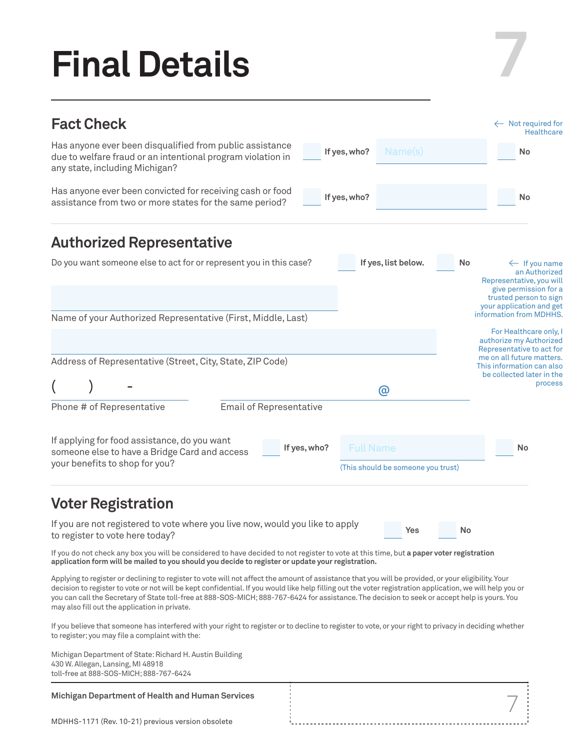# **Final Details**

#### Name(s) Full Name **Fact Check** Has anyone ever been disqualified from public assistance due to welfare fraud or an intentional program violation in any state, including Michigan? Has anyone ever been convicted for receiving cash or food assistance from two or more states for the same period? **If yes, who? If yes, who? If yes, who? No No No Authorized Representative** Do you want someone else to act for or represent you in this case? **If yes, list below. No** If applying for food assistance, do you want someone else to have a Bridge Card and access your benefits to shop for you? Name of your Authorized Representative (First, Middle, Last) Phone # of Representative Email of Representative Address of Representative (Street, City, State, ZIP Code)  $($  ) -  $)$ If you do not check any box you will be considered to have decided to not register to vote at this time, but **a paper voter registration application form will be mailed to you should you decide to register or update your registration.** Applying to register or declining to register to vote will not affect the amount of assistance that you will be provided, or your eligibility. Your decision to register to vote or not will be kept confidential. If you would like help filling out the voter registration application, we will help you or you can call the Secretary of State toll-free at 888-SOS-MICH; 888-767-6424 for assistance. The decision to seek or accept help is yours. You may also fill out the application in private. - Not required for **Healthcare**  $\leftarrow$  If you name an Authorized Representative, you will give permission for a trusted person to sign your application and get information from MDHHS. For Healthcare only, I authorize my Authorized Representative to act for me on all future matters. This information can also be collected later in the process (This should be someone you trust) **Yes No Voter Registration** If you are not registered to vote where you live now, would you like to apply to register to vote here today?

**7**

7

If you believe that someone has interfered with your right to register or to decline to register to vote, or your right to privacy in deciding whether to register; you may file a complaint with the:

Michigan Department of State: Richard H. Austin Building 430 W. Allegan, Lansing, MI 48918 toll-free at 888-SOS-MICH; 888-767-6424

#### **Michigan Department of Health and Human Services**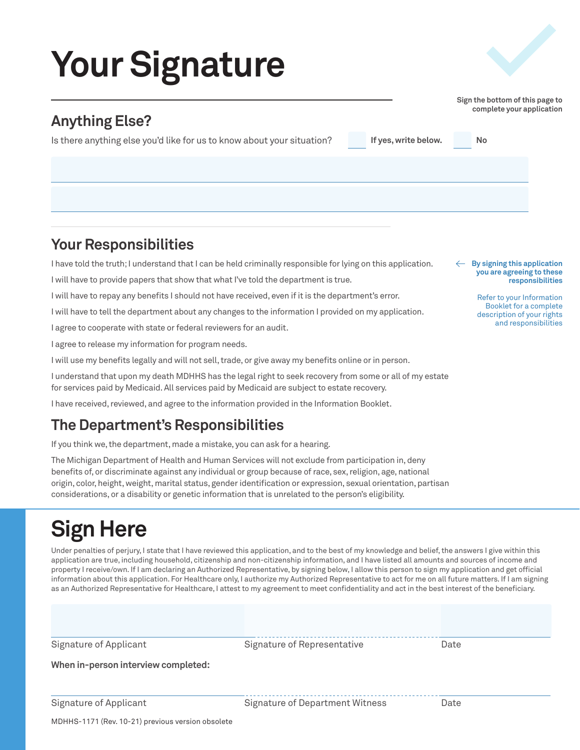# **Your Signature**

#### **Anything Else?**

Is there anything else you'd like for us to know about your situation?

**Your Responsibilities**

I have told the truth; I understand that I can be held criminally responsible for lying on this application.

I will have to provide papers that show that what I've told the department is true.

I will have to repay any benefits I should not have received, even if it is the department's error.

I will have to tell the department about any changes to the information I provided on my application.

I agree to cooperate with state or federal reviewers for an audit.

I agree to release my information for program needs.

I will use my benefits legally and will not sell, trade, or give away my benefits online or in person.

I understand that upon my death MDHHS has the legal right to seek recovery from some or all of my estate for services paid by Medicaid. All services paid by Medicaid are subject to estate recovery.

I have received, reviewed, and agree to the information provided in the Information Booklet.

#### **The Department's Responsibilities**

If you think we, the department, made a mistake, you can ask for a hearing.

The Michigan Department of Health and Human Services will not exclude from participation in, deny benefits of, or discriminate against any individual or group because of race, sex, religion, age, national origin, color, height, weight, marital status, gender identification or expression, sexual orientation, partisan considerations, or a disability or genetic information that is unrelated to the person's eligibility.

#### **Sign Here**

Under penalties of perjury, I state that I have reviewed this application, and to the best of my knowledge and belief, the answers I give within this application are true, including household, citizenship and non-citizenship information, and I have listed all amounts and sources of income and property I receive/own. If I am declaring an Authorized Representative, by signing below, I allow this person to sign my application and get official information about this application. For Healthcare only, I authorize my Authorized Representative to act for me on all future matters. If I am signing as an Authorized Representative for Healthcare, I attest to my agreement to meet confidentiality and act in the best interest of the beneficiary.

Signature of Applicant

Signature of Representative

Date

**When in-person interview completed:**

Signature of Applicant

Signature of Department Witness

Date

#### **By signing this application you are agreeing to these responsibilities**

Refer to your Information Booklet for a complete description of your rights and responsibilities

**Sign the bottom of this page to complete your application**

**If yes, write below. No**

MDHHS-1171 (Rev. 10-21) previous version obsolete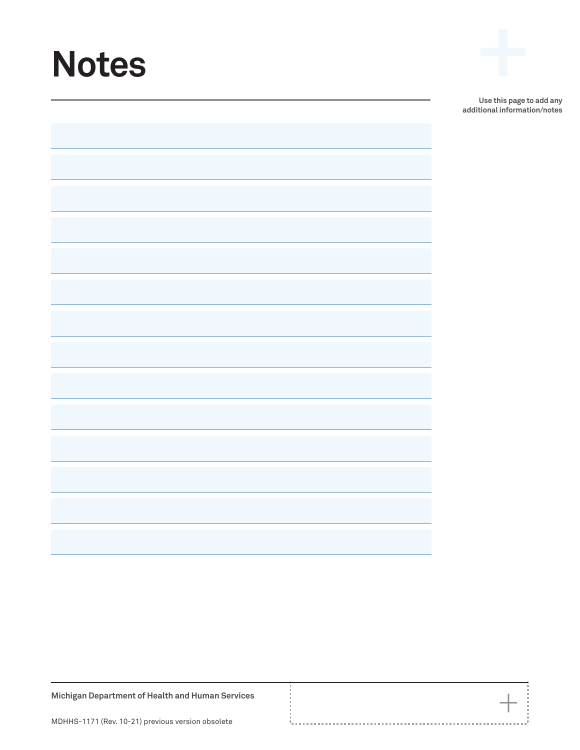# **Notes +**



 $+$ 

**Michigan Department of Health and Human Services**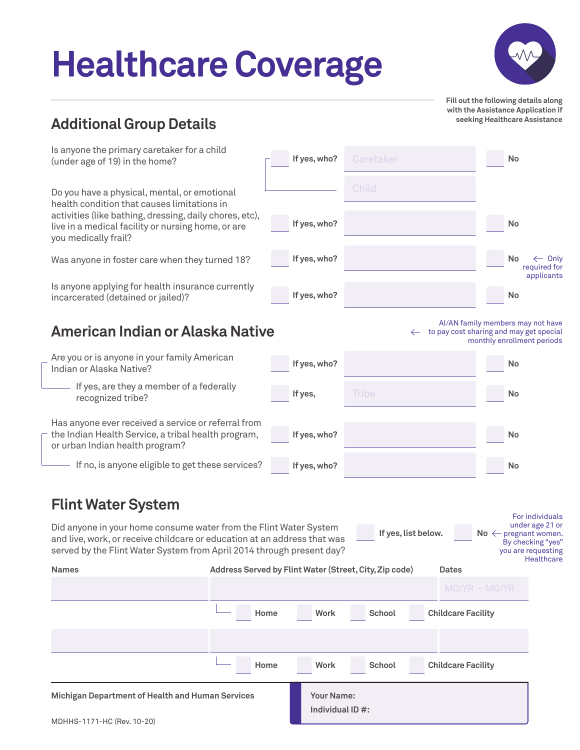# **Healthcare Coverage**



**Fill out the following details along with the Assistance Application if seeking Healthcare Assistance**

**No**

**No**

**No**

 $\leftarrow$  Only required for

**No**

#### **Additional Group Details**

Is anyone the primary caretaker for a child (under age of 19) in the home?

Do you have a physical, mental, or emotional health condition that causes limitations in activities (like bathing, dressing, daily chores, etc), live in a medical facility or nursing home, or are you medically frail?

Was anyone in foster care when they turned 18?

Is anyone applying for health insurance currently incarcerated (detained or jailed)?

#### **American Indian or Alaska Native**



If yes, are they a member of a federally recognized tribe?

Has anyone ever received a service or referral from the Indian Health Service, a tribal health program, or urban Indian health program?

- If no, is anyone eligible to get these services?

#### **Flint Water System**



Did anyone in your home consume water from the Flint Water System and live, work, or receive childcare or education at an address that was served by the Flint Water System from April 2014 through present day? **Home Work School Childcare Facility Names Address Served by Flint Water (Street, City, Zip code) Dates** For individuals under age 21 or  $No \leftarrow$  pregnant women. By checking "yes" you are requesting **Healthcare If yes, list below.** 

**If yes, who?**

**If yes, who?**

**If yes, who?**

**If yes, who?**

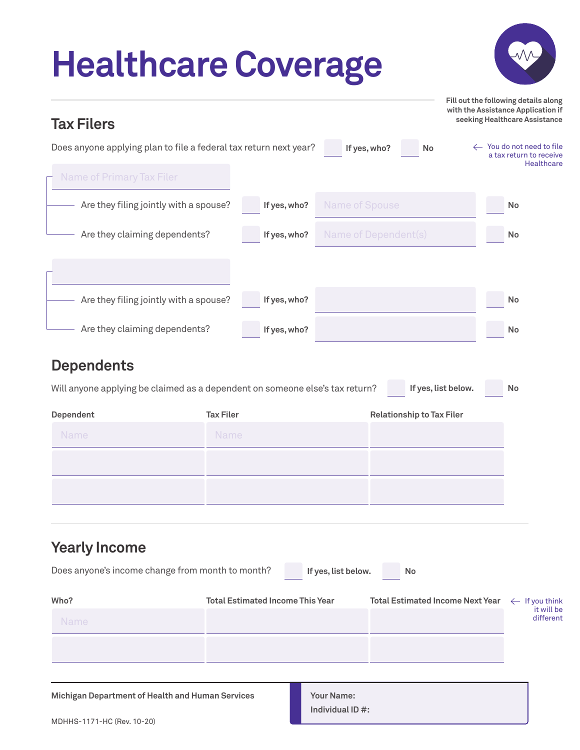# **Healthcare Coverage**



**Fill out the following details along with the Assistance Application if** 

| <b>Tax Filers</b>                |                                                                                                     | seeking Healthcare Assistance                                             |
|----------------------------------|-----------------------------------------------------------------------------------------------------|---------------------------------------------------------------------------|
|                                  | Does anyone applying plan to file a federal tax return next year?<br>If yes, who?<br>No             | ← You do not need to file<br>a tax return to receive<br><b>Healthcare</b> |
| <b>Name of Primary Tax Filer</b> |                                                                                                     |                                                                           |
|                                  | Are they filing jointly with a spouse?<br>Name of Spouse<br>If yes, who?                            | No                                                                        |
|                                  | Are they claiming dependents?<br>Name of Dependent(s)<br>If yes, who?                               | No                                                                        |
|                                  |                                                                                                     |                                                                           |
|                                  | Are they filing jointly with a spouse?<br>If yes, who?                                              | No                                                                        |
|                                  | Are they claiming dependents?<br>If yes, who?                                                       | No                                                                        |
| <b>Dependents</b>                |                                                                                                     |                                                                           |
|                                  | If yes, list below.<br>Will anyone applying be claimed as a dependent on someone else's tax return? | No                                                                        |
| Dependent                        | <b>Tax Filer</b><br><b>Relationship to Tax Filer</b>                                                |                                                                           |
| Name                             | Name                                                                                                |                                                                           |
|                                  |                                                                                                     |                                                                           |
|                                  |                                                                                                     |                                                                           |
|                                  |                                                                                                     |                                                                           |
| <b>Yearly Income</b>             |                                                                                                     |                                                                           |
|                                  | Does anyone's income change from month to month?<br>If yes, list below.<br>No                       |                                                                           |
| Who?                             | <b>Total Estimated Income This Year</b><br><b>Total Estimated Income Next Year</b>                  | $\leftarrow$ If you think<br>it will be                                   |
| <b>Name</b>                      |                                                                                                     | different                                                                 |
|                                  |                                                                                                     |                                                                           |
|                                  |                                                                                                     |                                                                           |

**Michigan Department of Health and Human Services Theory Your Name:** 

**Individual ID #:**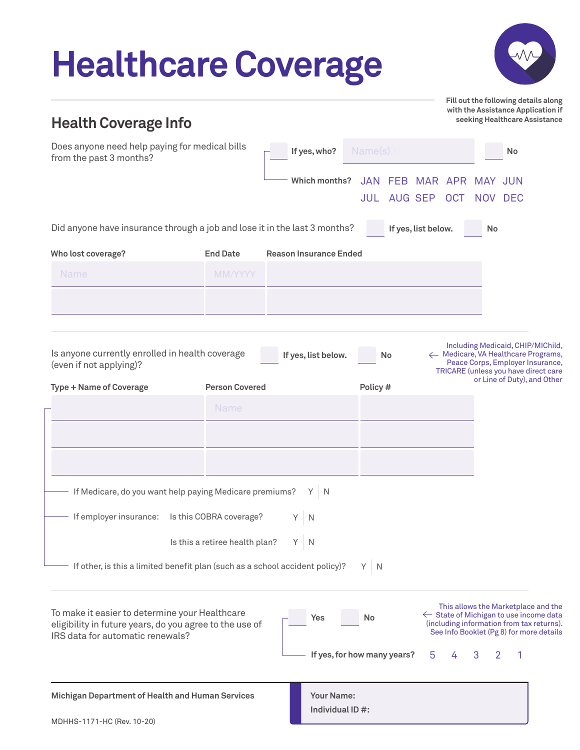| <b>Health Coverage Info</b>                                                                                                                                                     |                                |                               |               |            |                                |                           | Fill out the following details along<br>with the Assistance Application if<br>seeking Healthcare Assistance                                                                       |
|---------------------------------------------------------------------------------------------------------------------------------------------------------------------------------|--------------------------------|-------------------------------|---------------|------------|--------------------------------|---------------------------|-----------------------------------------------------------------------------------------------------------------------------------------------------------------------------------|
| Does anyone need help paying for medical bills<br>from the past 3 months?                                                                                                       |                                | If yes, who?                  |               | Name(s)    |                                |                           | No                                                                                                                                                                                |
|                                                                                                                                                                                 |                                |                               | Which months? | JULI       | JAN FEB MAR APR<br>AUG SEP OCT | <b>MAY JUN</b><br>NOV DEC |                                                                                                                                                                                   |
| Did anyone have insurance through a job and lose it in the last 3 months?                                                                                                       |                                |                               |               |            | If yes, list below.            | No                        |                                                                                                                                                                                   |
| Who lost coverage?                                                                                                                                                              | <b>End Date</b>                | <b>Reason Insurance Ended</b> |               |            |                                |                           |                                                                                                                                                                                   |
| Name                                                                                                                                                                            | <b>MM/YYYY</b>                 |                               |               |            |                                |                           |                                                                                                                                                                                   |
|                                                                                                                                                                                 |                                |                               |               |            |                                |                           |                                                                                                                                                                                   |
|                                                                                                                                                                                 |                                |                               |               |            |                                |                           |                                                                                                                                                                                   |
| Is anyone currently enrolled in health coverage<br>(even if not applying)?                                                                                                      |                                | If yes, list below.           |               |            | No                             |                           | ← Medicare, VA Healthcare Programs,<br>Peace Corps, Employer Insurance,                                                                                                           |
|                                                                                                                                                                                 | <b>Person Covered</b>          |                               |               | Policy#    |                                |                           | TRICARE (unless you have direct care<br>or Line of Duty), and Other                                                                                                               |
|                                                                                                                                                                                 | Name                           |                               |               |            |                                |                           |                                                                                                                                                                                   |
|                                                                                                                                                                                 |                                |                               |               |            |                                |                           |                                                                                                                                                                                   |
|                                                                                                                                                                                 |                                |                               |               |            |                                |                           |                                                                                                                                                                                   |
|                                                                                                                                                                                 |                                |                               |               |            |                                |                           |                                                                                                                                                                                   |
| If Medicare, do you want help paying Medicare premiums?                                                                                                                         |                                | $Y \mid N$                    |               |            |                                |                           |                                                                                                                                                                                   |
| If employer insurance:                                                                                                                                                          | Is this COBRA coverage?        | Y<br>$\mathbb N$              |               |            |                                |                           |                                                                                                                                                                                   |
|                                                                                                                                                                                 | Is this a retiree health plan? | $Y \mid N$                    |               |            |                                |                           |                                                                                                                                                                                   |
| If other, is this a limited benefit plan (such as a school accident policy)?                                                                                                    |                                |                               |               | $Y \mid N$ |                                |                           |                                                                                                                                                                                   |
|                                                                                                                                                                                 |                                |                               |               |            |                                |                           |                                                                                                                                                                                   |
| <b>Type + Name of Coverage</b><br>To make it easier to determine your Healthcare<br>eligibility in future years, do you agree to the use of<br>IRS data for automatic renewals? |                                | Yes                           |               | No         |                                |                           | This allows the Marketplace and the<br>$\leftarrow$ State of Michigan to use income data<br>(including information from tax returns).<br>See Info Booklet (Pg 8) for more details |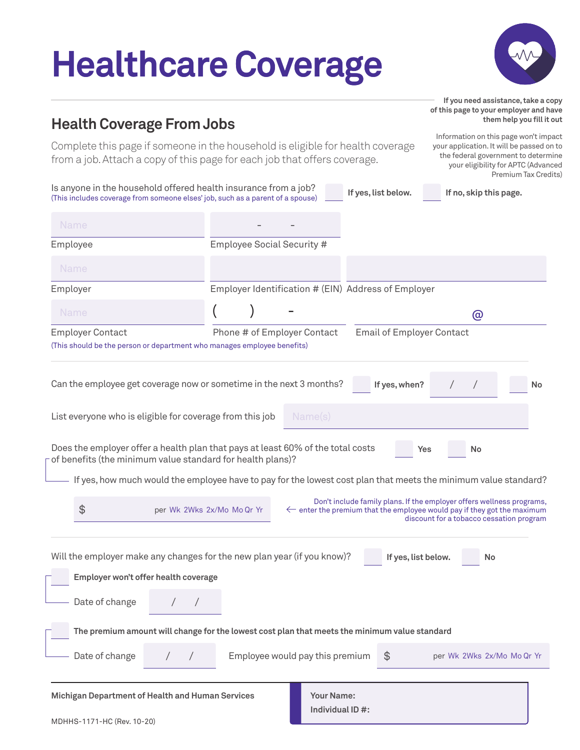# **Healthcare Coverage**



**them help you fill it out**

#### **Health Coverage From Jobs**

Complete this page if someone in the household is eligible for health coverage from a job. Attach a copy of this page for each job that offers coverage.

Information on this page won't impact your application. It will be passed on to the federal government to determine your eligibility for APTC (Advanced Premium Tax Credits)

**If you need assistance, take a copy of this page to your employer and have** 

| Is anyone in the household offered health insurance from a job?<br>(This includes coverage from someone elses' job, such as a parent of a spouse)                                                                                                                      |                             |                                                                                    | If yes, list below.              | If no, skip this page.                                                                                                  |    |
|------------------------------------------------------------------------------------------------------------------------------------------------------------------------------------------------------------------------------------------------------------------------|-----------------------------|------------------------------------------------------------------------------------|----------------------------------|-------------------------------------------------------------------------------------------------------------------------|----|
| <b>Name</b>                                                                                                                                                                                                                                                            |                             |                                                                                    |                                  |                                                                                                                         |    |
| Employee                                                                                                                                                                                                                                                               | Employee Social Security #  |                                                                                    |                                  |                                                                                                                         |    |
| Name                                                                                                                                                                                                                                                                   |                             |                                                                                    |                                  |                                                                                                                         |    |
| Employer                                                                                                                                                                                                                                                               |                             | Employer Identification # (EIN) Address of Employer                                |                                  |                                                                                                                         |    |
| <b>Name</b>                                                                                                                                                                                                                                                            |                             |                                                                                    |                                  | @                                                                                                                       |    |
| <b>Employer Contact</b><br>(This should be the person or department who manages employee benefits)                                                                                                                                                                     | Phone # of Employer Contact |                                                                                    | <b>Email of Employer Contact</b> |                                                                                                                         |    |
| Can the employee get coverage now or sometime in the next 3 months?                                                                                                                                                                                                    |                             |                                                                                    | If yes, when?                    |                                                                                                                         | No |
| List everyone who is eligible for coverage from this job                                                                                                                                                                                                               |                             | Name(s)                                                                            |                                  |                                                                                                                         |    |
| Does the employer offer a health plan that pays at least 60% of the total costs<br>of benefits (the minimum value standard for health plans)?<br>If yes, how much would the employee have to pay for the lowest cost plan that meets the minimum value standard?<br>\$ | per Wk 2Wks 2x/Mo Mo Qr Yr  | $\leftarrow$ enter the premium that the employee would pay if they got the maximum | Yes                              | No<br>Don't include family plans. If the employer offers wellness programs,<br>discount for a tobacco cessation program |    |
| Will the employer make any changes for the new plan year (if you know)?<br>Employer won't offer health coverage<br>Date of change                                                                                                                                      |                             |                                                                                    | If yes, list below.              | No                                                                                                                      |    |
| The premium amount will change for the lowest cost plan that meets the minimum value standard                                                                                                                                                                          |                             |                                                                                    |                                  |                                                                                                                         |    |
| Date of change                                                                                                                                                                                                                                                         |                             | Employee would pay this premium                                                    | $\$\$                            | per Wk 2Wks 2x/Mo Mo Qr Yr                                                                                              |    |
| Michigan Department of Health and Human Services<br>MDHHS-1171-HC (Rev. 10-20)                                                                                                                                                                                         |                             | <b>Your Name:</b><br>Individual ID #:                                              |                                  |                                                                                                                         |    |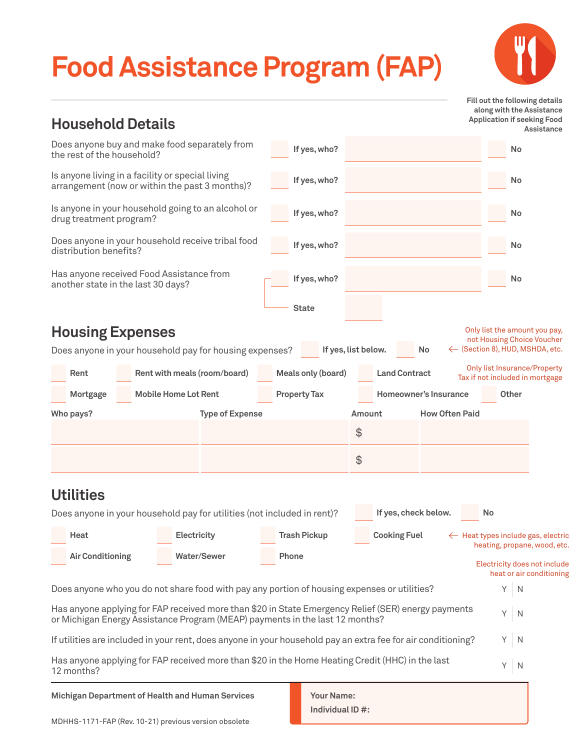### **Food Assistance Program (FAP)**

**Household Details**



 **Fill out the following details along with the Assistance Application if seeking Food Assistance**

| $\blacksquare$                     |                                                                                                                                                                                     |                     |                                 | Assistance                                                                    |
|------------------------------------|-------------------------------------------------------------------------------------------------------------------------------------------------------------------------------------|---------------------|---------------------------------|-------------------------------------------------------------------------------|
| the rest of the household?         | Does anyone buy and make food separately from                                                                                                                                       | If yes, who?        |                                 | No                                                                            |
|                                    | Is anyone living in a facility or special living<br>arrangement (now or within the past 3 months)?                                                                                  | If yes, who?        |                                 | No                                                                            |
| drug treatment program?            | Is anyone in your household going to an alcohol or                                                                                                                                  | If yes, who?        |                                 | <b>No</b>                                                                     |
| distribution benefits?             | Does anyone in your household receive tribal food                                                                                                                                   | If yes, who?        |                                 | <b>No</b>                                                                     |
| another state in the last 30 days? | Has anyone received Food Assistance from                                                                                                                                            | If yes, who?        |                                 | No                                                                            |
|                                    |                                                                                                                                                                                     | <b>State</b>        |                                 |                                                                               |
| <b>Housing Expenses</b>            |                                                                                                                                                                                     |                     |                                 | Only list the amount you pay,                                                 |
|                                    | Does anyone in your household pay for housing expenses?                                                                                                                             |                     | If yes, list below.<br>No       | not Housing Choice Voucher<br>← (Section 8), HUD, MSHDA, etc.                 |
| Rent                               | Rent with meals (room/board)                                                                                                                                                        | Meals only (board)  | <b>Land Contract</b>            | <b>Only list Insurance/Property</b><br>Tax if not included in mortgage        |
| Mortgage                           | <b>Mobile Home Lot Rent</b>                                                                                                                                                         | <b>Property Tax</b> | <b>Homeowner's Insurance</b>    | <b>Other</b>                                                                  |
| Who pays?                          | <b>Type of Expense</b>                                                                                                                                                              |                     | <b>How Often Paid</b><br>Amount |                                                                               |
|                                    |                                                                                                                                                                                     |                     | \$                              |                                                                               |
|                                    |                                                                                                                                                                                     |                     | \$                              |                                                                               |
| <b>Utilities</b>                   |                                                                                                                                                                                     |                     |                                 |                                                                               |
|                                    | Does anyone in your household pay for utilities (not included in rent)?                                                                                                             |                     | If yes, check below.            | No                                                                            |
| Heat                               | Electricity                                                                                                                                                                         | <b>Trash Pickup</b> | <b>Cooking Fuel</b>             | $\leftarrow$ Heat types include gas, electric<br>heating, propane, wood, etc. |
| <b>Air Conditioning</b>            | Water/Sewer                                                                                                                                                                         | <b>Phone</b>        |                                 | Electricity does not include<br>heat or air conditioning                      |
|                                    | Does anyone who you do not share food with pay any portion of housing expenses or utilities?                                                                                        |                     |                                 | Y<br>$\mathbb N$                                                              |
|                                    | Has anyone applying for FAP received more than \$20 in State Emergency Relief (SER) energy payments<br>or Michigan Energy Assistance Program (MEAP) payments in the last 12 months? |                     |                                 | Y.<br>$\mathbb N$                                                             |
|                                    | If utilities are included in your rent, does anyone in your household pay an extra fee for air conditioning?                                                                        |                     |                                 | $Y \mid N$                                                                    |
| 12 months?                         | Has anyone applying for FAP received more than \$20 in the Home Heating Credit (HHC) in the last                                                                                    |                     |                                 | Y.<br>$\overline{N}$                                                          |
|                                    |                                                                                                                                                                                     |                     |                                 |                                                                               |

**Michigan Department of Health and Human Services Theory of Name:** 

**Individual ID #:**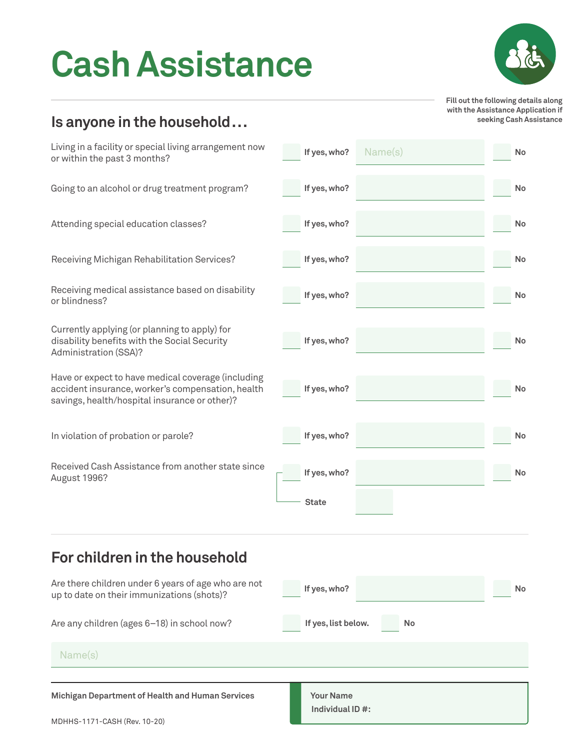### **Cash Assistance**



**Fill out the following details along with the Assistance Application if seeking Cash Assistance**

#### **Is anyone in the household...**

| Living in a facility or special living arrangement now<br>or within the past 3 months?                                                                   | If yes, who?                         | Name(s) | <b>No</b> |
|----------------------------------------------------------------------------------------------------------------------------------------------------------|--------------------------------------|---------|-----------|
| Going to an alcohol or drug treatment program?                                                                                                           | If yes, who?                         |         | No        |
| Attending special education classes?                                                                                                                     | If yes, who?                         |         | No        |
| Receiving Michigan Rehabilitation Services?                                                                                                              | If yes, who?                         |         | No        |
| Receiving medical assistance based on disability<br>or blindness?                                                                                        | If yes, who?                         |         | No        |
| Currently applying (or planning to apply) for<br>disability benefits with the Social Security<br>Administration (SSA)?                                   | If yes, who?                         |         | No        |
| Have or expect to have medical coverage (including<br>accident insurance, worker's compensation, health<br>savings, health/hospital insurance or other)? | If yes, who?                         |         | No        |
| In violation of probation or parole?                                                                                                                     | If yes, who?                         |         | No        |
| Received Cash Assistance from another state since<br>August 1996?                                                                                        | If yes, who?<br><b>State</b>         |         | No        |
| For children in the household                                                                                                                            |                                      |         |           |
| Are there children under 6 years of age who are not<br>up to date on their immunizations (shots)?                                                        | If yes, who?                         |         | No        |
| Are any children (ages 6-18) in school now?                                                                                                              | If yes, list below.                  | No      |           |
| Name(s)                                                                                                                                                  |                                      |         |           |
| <b>Michigan Department of Health and Human Services</b><br>MDHHS-1171-CASH (Rev. 10-20)                                                                  | <b>Your Name</b><br>Individual ID #: |         |           |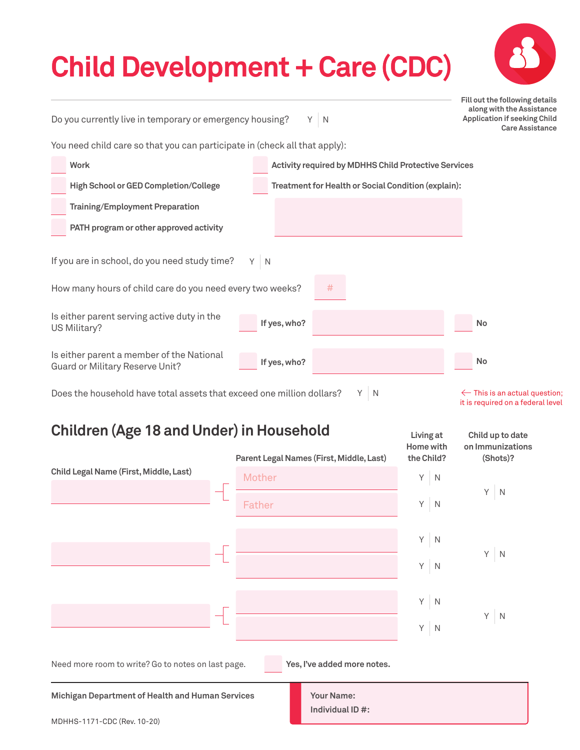### **Child Development + Care (CDC)**

**Care Assistance**

**Fill out the following details along with the Assistance Application if seeking Child** 

Do you currently live in temporary or emergency housing? Y N

You need child care so that you can participate in (check all that apply):

| <b>Work</b>                                                                                                |       | <b>Activity required by MDHHS Child Protective Services</b> |                                          |
|------------------------------------------------------------------------------------------------------------|-------|-------------------------------------------------------------|------------------------------------------|
| <b>High School or GED Completion/College</b>                                                               |       | Treatment for Health or Social Condition (explain):         |                                          |
| <b>Training/Employment Preparation</b>                                                                     |       |                                                             |                                          |
| PATH program or other approved activity                                                                    |       |                                                             |                                          |
| If you are in school, do you need study time?<br>How many hours of child care do you need every two weeks? | $Y$ N | #                                                           |                                          |
| Is either parent serving active duty in the<br>US Military?                                                |       | If yes, who?                                                | <b>No</b>                                |
| Is either parent a member of the National<br>Guard or Military Reserve Unit?                               |       | If yes, who?                                                | <b>No</b>                                |
| Does the household have total assets that exceed one million dollars?                                      |       | Y.<br>N                                                     | $\leftarrow$ This is an actual question; |

 $\leftarrow$  This is an actual question; it is required on a federal level

**Child up to date** 

**Living at** 

#### **Children (Age 18 and Under) in Household**

MDHHS-1171-CDC (Rev. 10-20)

|                                                    | Parent Legal Names (First, Middle, Last) | Home with<br>the Child? | on Immunizations<br>(Shots)? |
|----------------------------------------------------|------------------------------------------|-------------------------|------------------------------|
| Child Legal Name (First, Middle, Last)             | Mother                                   | Y<br>$\mathbb N$        |                              |
|                                                    | Father                                   | $Y$ N                   | $Y$ N                        |
|                                                    |                                          | $Y$ N                   |                              |
|                                                    |                                          | $Y \mid N$              | $Y \mid N$                   |
|                                                    |                                          | $Y$ N                   |                              |
|                                                    |                                          | $Y$ N                   | $Y \mid N$                   |
| Need more room to write? Go to notes on last page. | Yes, I've added more notes.              |                         |                              |
| Michigan Department of Health and Human Services   | <b>Your Name:</b><br>Individual ID #:    |                         |                              |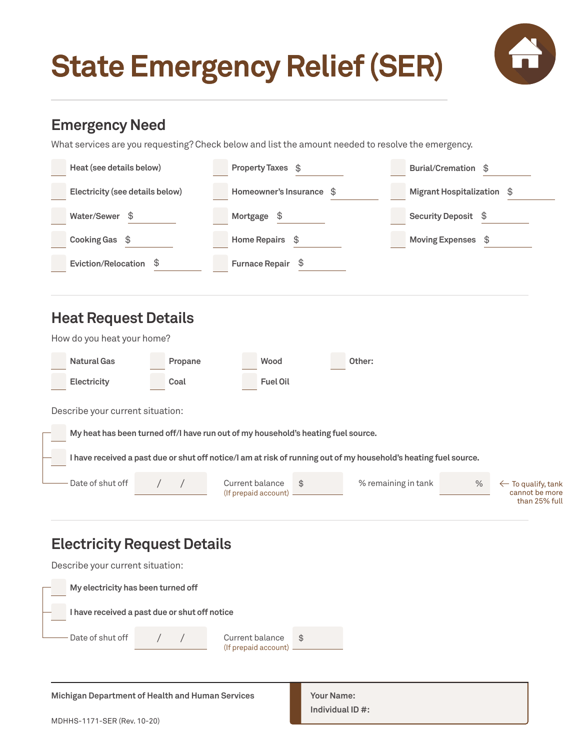### **State Emergency Relief (SER)**



#### **Emergency Need**

What services are you requesting? Check below and list the amount needed to resolve the emergency.

| Heat (see details below)                                                                                         | Property Taxes \$                             |                     | Burial/Cremation \$                                                      |
|------------------------------------------------------------------------------------------------------------------|-----------------------------------------------|---------------------|--------------------------------------------------------------------------|
| Electricity (see details below)                                                                                  | Homeowner's Insurance \$                      |                     | <b>Migrant Hospitalization</b><br>\$                                     |
| Water/Sewer \$                                                                                                   | Mortgage<br>\$                                |                     | Security Deposit \$                                                      |
| Cooking Gas \$                                                                                                   | Home Repairs \$                               |                     | <b>Moving Expenses</b><br>\$                                             |
| <b>Eviction/Relocation</b><br>\$                                                                                 | <b>Furnace Repair</b><br>\$                   |                     |                                                                          |
|                                                                                                                  |                                               |                     |                                                                          |
| <b>Heat Request Details</b>                                                                                      |                                               |                     |                                                                          |
| How do you heat your home?                                                                                       |                                               |                     |                                                                          |
| <b>Natural Gas</b><br>Propane                                                                                    | Wood                                          | Other:              |                                                                          |
| Electricity<br>Coal                                                                                              | <b>Fuel Oil</b>                               |                     |                                                                          |
| Describe your current situation:                                                                                 |                                               |                     |                                                                          |
| My heat has been turned off/I have run out of my household's heating fuel source.                                |                                               |                     |                                                                          |
| I have received a past due or shut off notice/I am at risk of running out of my household's heating fuel source. |                                               |                     |                                                                          |
| Date of shut off                                                                                                 | Current balance<br>\$<br>(If prepaid account) | % remaining in tank | $\%$<br>$\leftarrow$ To qualify, tank<br>cannot be more<br>than 25% full |
| والمشمرا بالممرد بممرات والزبان                                                                                  |                                               |                     |                                                                          |

#### **Electricity Request Details**

/ / \$ Describe your current situation: **My electricity has been turned off I have received a past due or shut off notice** Date of shut off Current balance (If prepaid account)

**Michigan Department of Health and Human Services Theory Your Name:** 

**Individual ID #:**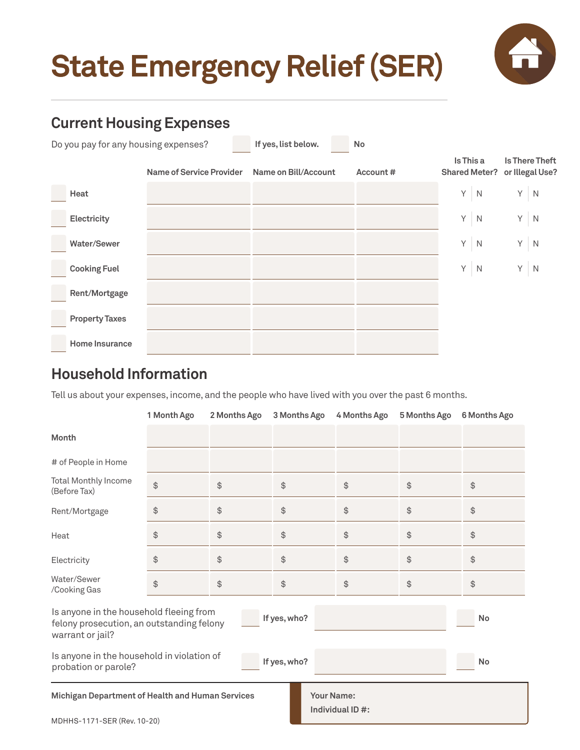### **State Emergency Relief (SER)**



#### **Current Housing Expenses**

| Do you pay for any housing expenses?<br>If yes, list below.<br><b>No</b><br>Is This a<br><b>Is There Theft</b><br><b>Name of Service Provider</b><br>or Illegal Use?<br>Name on Bill/Account<br><b>Shared Meter?</b><br>Account#<br>Y<br>Y<br>$\mathbb N$<br>$\mathbb N$<br>Heat<br>$Y$ N<br>$Y$ N<br>Electricity<br>Y<br>Y<br>$\mathbb N$<br>$\mathbb N$<br>Water/Sewer |                       |  |   |                |   |             |
|--------------------------------------------------------------------------------------------------------------------------------------------------------------------------------------------------------------------------------------------------------------------------------------------------------------------------------------------------------------------------|-----------------------|--|---|----------------|---|-------------|
|                                                                                                                                                                                                                                                                                                                                                                          |                       |  |   |                |   |             |
|                                                                                                                                                                                                                                                                                                                                                                          |                       |  |   |                |   |             |
|                                                                                                                                                                                                                                                                                                                                                                          |                       |  |   |                |   |             |
|                                                                                                                                                                                                                                                                                                                                                                          |                       |  |   |                |   |             |
|                                                                                                                                                                                                                                                                                                                                                                          | <b>Cooking Fuel</b>   |  | Y | $\overline{N}$ | Y | $\mathbb N$ |
|                                                                                                                                                                                                                                                                                                                                                                          | Rent/Mortgage         |  |   |                |   |             |
|                                                                                                                                                                                                                                                                                                                                                                          | <b>Property Taxes</b> |  |   |                |   |             |
|                                                                                                                                                                                                                                                                                                                                                                          | <b>Home Insurance</b> |  |   |                |   |             |

#### **Household Information**

Tell us about your expenses, income, and the people who have lived with you over the past 6 months.

|                                                                                                                                | 1 Month Ago   | 2 Months Ago | 3 Months Ago  | 4 Months Ago     | 5 Months Ago | 6 Months Ago                                  |  |
|--------------------------------------------------------------------------------------------------------------------------------|---------------|--------------|---------------|------------------|--------------|-----------------------------------------------|--|
| Month                                                                                                                          |               |              |               |                  |              |                                               |  |
| # of People in Home                                                                                                            |               |              |               |                  |              |                                               |  |
| <b>Total Monthly Income</b><br>(Before Tax)                                                                                    | \$            | \$           | $\frac{1}{2}$ | $$\mathfrak{S}$$ | \$           | \$                                            |  |
| Rent/Mortgage                                                                                                                  | \$            | \$           | $\frac{1}{2}$ | $\frac{1}{2}$    | \$           | \$                                            |  |
| Heat                                                                                                                           | \$            | \$           | $\frac{1}{2}$ | $\frac{1}{2}$    | \$           | $\, \, \raisebox{12pt}{$\scriptstyle \circ$}$ |  |
| Electricity                                                                                                                    | $\frac{1}{2}$ | \$           | $\frac{1}{2}$ | $\frac{1}{2}$    | \$           | $\spadesuit$                                  |  |
| Water/Sewer<br>/Cooking Gas                                                                                                    | $\frac{1}{2}$ | \$           | $\frac{1}{2}$ | $\frac{1}{2}$    | \$           | \$                                            |  |
| Is anyone in the household fleeing from<br>If yes, who?<br>No<br>felony prosecution, an outstanding felony<br>warrant or jail? |               |              |               |                  |              |                                               |  |
| Is anyone in the household in violation of<br>If yes, who?<br><b>No</b><br>probation or parole?                                |               |              |               |                  |              |                                               |  |
| Michigan Department of Health and Human Services<br><b>Your Name:</b><br>Individual ID #:                                      |               |              |               |                  |              |                                               |  |